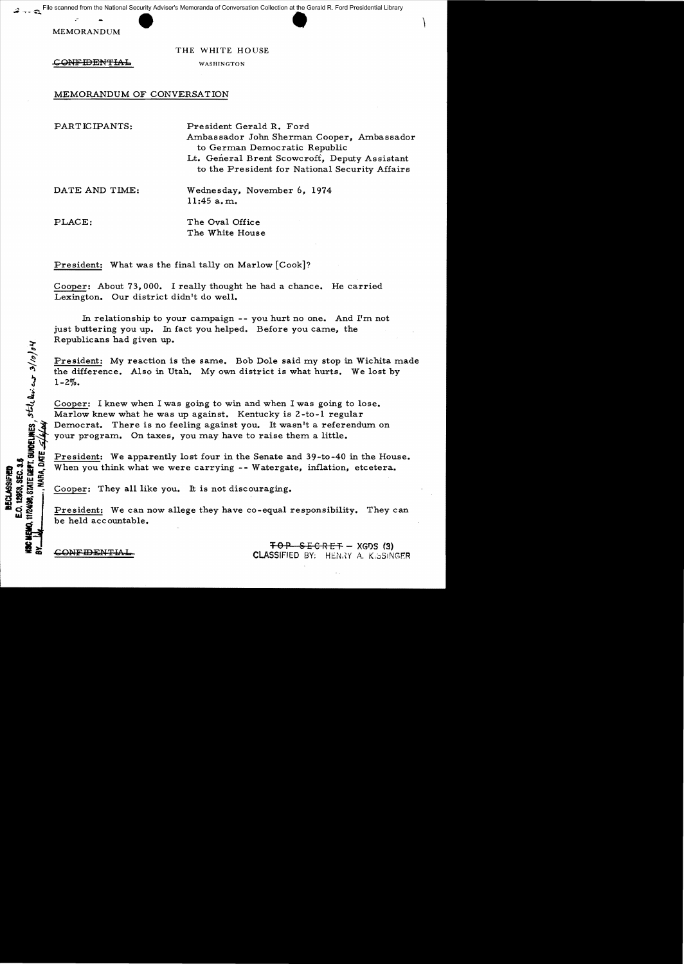scanned from the National Security Adviser's Memoranda of Conversation Collection at the Gerald R. Ford Presidential Library<br>
MEMORANDUM<br>
THE WHITE HOUSE File scanned from the National Security Adviser's Memoranda of Conversation Collection at the Gerald R. Ford Presidential Library

THE WHITE HOUSE

CONFIDENTIAL WASHINGTON

MEMORANDUM OF CONVERSATION

| PARTICIPANTS:  | President Gerald R. Ford<br>Ambassador John Sherman Cooper, Ambassador<br>to German Democratic Republic<br>Lt. General Brent Scowcroft, Deputy Assistant<br>to the President for National Security Affairs |
|----------------|------------------------------------------------------------------------------------------------------------------------------------------------------------------------------------------------------------|
| DATE AND TIME: | Wednesday, November 6, 1974<br>11:45 a.m.                                                                                                                                                                  |
| PLACE:         | The Oval Office<br>The White House                                                                                                                                                                         |

President: What was the final tally on Marlow [Cook]?

Cooper: About 73,000. I really thought he had a chance. He carried Lexington. Our district didn't do well.

In relationship to your campaign -- you hurt no one. And I'm not just buttering you up. In fact you helped. Before you came, the Republicans had given up.

President: My reaction is the same. Bob Dole said my stop in Wichita made the difference. Also in Utah. My own district is what hurts. We lost by  $1 - 2\%$ .

Cooper: I knew when I was going to win and when I was going to lose. Marlow knew what he was up against. Kentucky is 2 -to -1 regular Democrat. There is no feeling against you. It wasn't a referendum on your program. On taxes, you may have to raise them a little.

President: We apparently lost four in the Senate and 39-to-40 in the House. When you think what we were carrying **--** Watergate, inflation, etcetera.

Cooper: They all like you. It is not discouraging.

President: We can now allege they have co-equal responsibility. They can be held acc ountable.

TOP SECRET - XGDS (3)<br>CLASSIFIED BY: HENRY A. K<sub>1</sub>5SINGER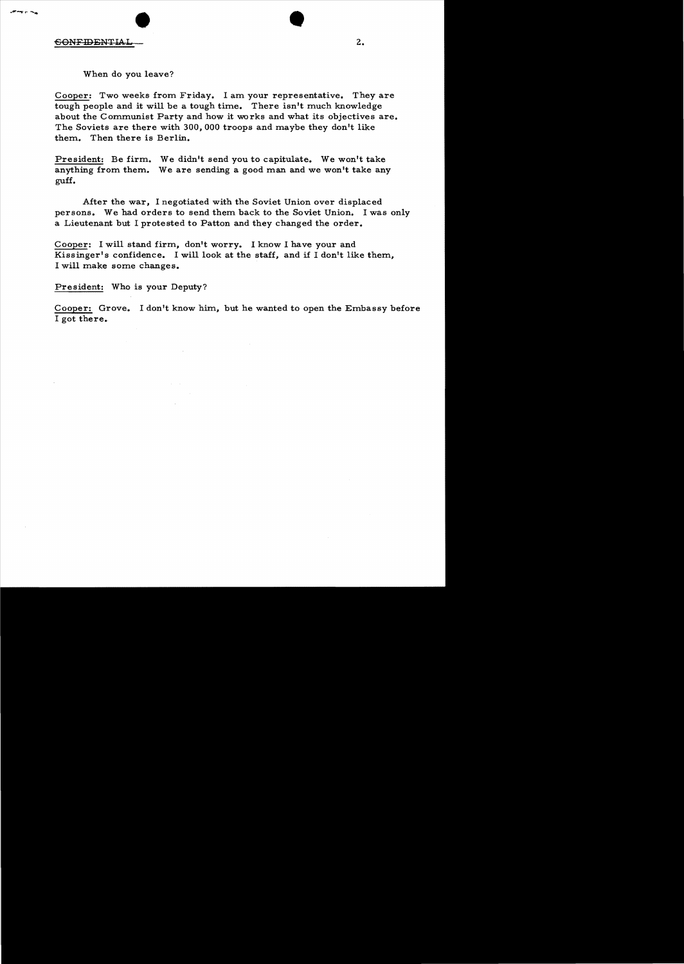CONFIDENTIAL 2.

When do you leave?

Cooper: Two weeks from Friday. I am your representative. They are tough people and it will be a tough time. There isn't much knowledge about the Communist Party and how it works and what its objectives are. The Soviets are there with 300,000 troops and maybe they don't like them.. Then there is Berlin.

President: Be firm. We didn't send you to capitulate. We won't take anything from them. We are sending a good man and we won't take any guff.

After the war, I negotiated with the Soviet Union over displaced persons. We had orders to send them back to the Soviet Union. I was only a Lieutenant but I protested to Patton and they changed the order.

Cooper: I will stand firm., don't worry. I know I have your and Kissinger's confidence. I will look at the staff, and if I don't like them, I will make some changes.

President: Who is your Deputy?

Cooper: Grove. I don't know him, but he wanted to open the Embassy before I got there.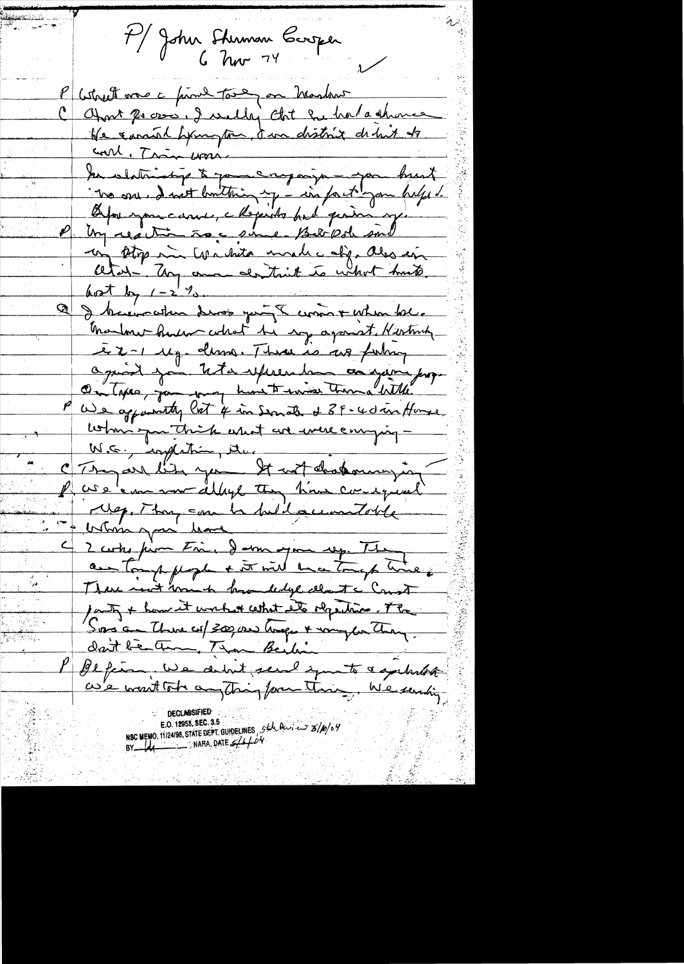7) John Sterman Carper l'astreet vous à proud tout en Marton C april 20000, I willy that he had a shower He cannot hymptom, I in district debut to <u>coul. Trin ware</u> In slatinity to your engagement tre one. I not builting my - in fact you helps . Oppunancienne, Maria de Parti qui est un stop min tor hata made of also en atel - My and don't think to what hands. a dont by 1 - 2 %.<br>Q & bacomether drop you I comme + when bec. Manhor human codrat be soy against Northing e 2-1 Mg. dema Three is as formy Omtate par teste experiente au garin prop. P We appointly lost if in Servate & 39-40 in House utin qu'il estat une mere empig P use's me war delays they have consequent 14, Thy can be held accountable 4 2 curtes from Fine, demangementsp. They au tough people + it will be a tough the / autres + home it work \* cettet et de répeiting. The Sons a there es/300,000 tous + vous de They. dant bestem, Than Beiling P Befina, we do but send you to a getartal as's went tot anything for their, We sending

NSC MEMO, 11/24/98, STATE DEPT. GUIDELINES  $54\sqrt{2}$ <br>BY  $-44$